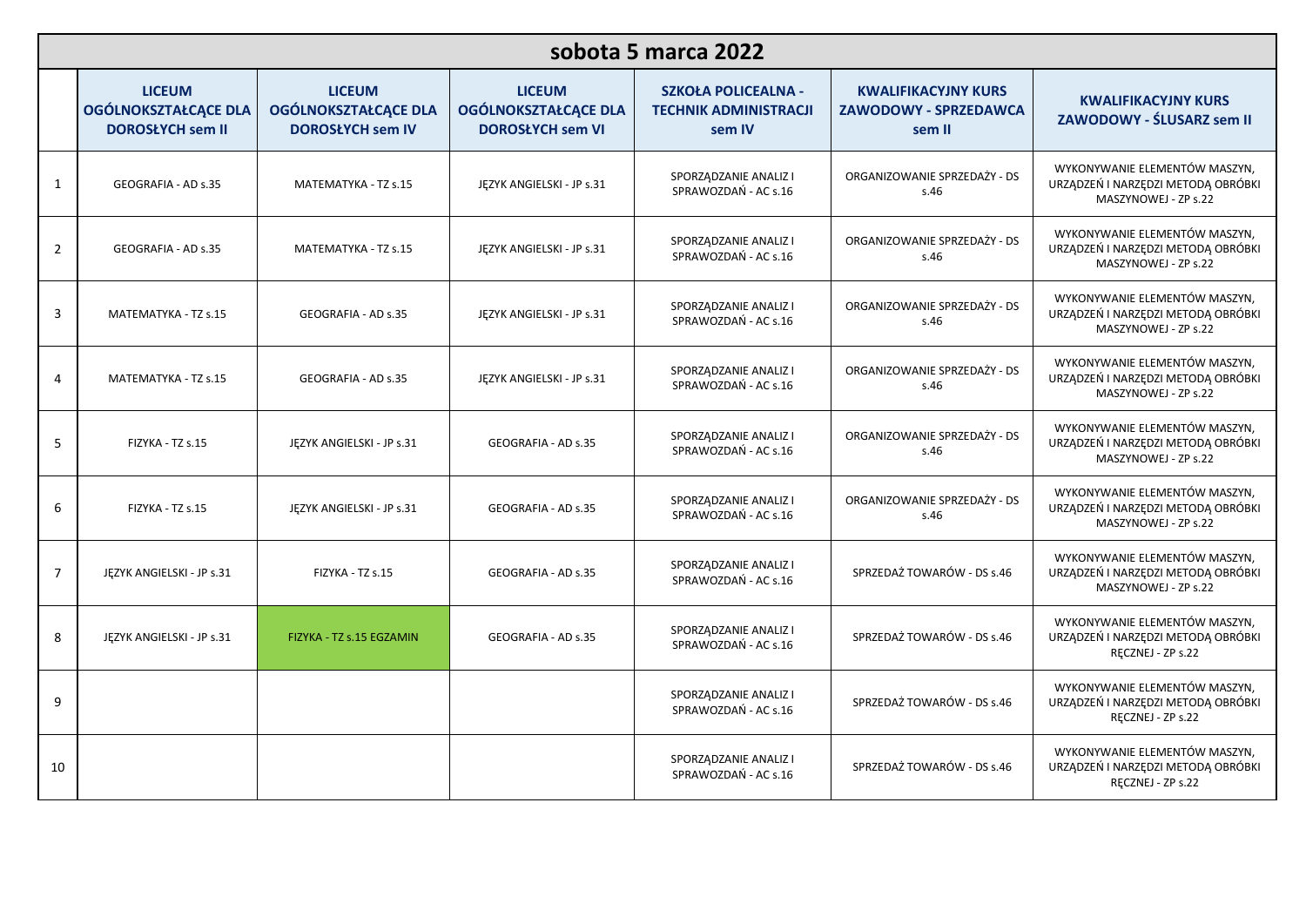| sobota 5 marca 2022 |                                                                  |                                                                         |                                                                         |                                                                      |                                                                      |                                                                                             |  |  |
|---------------------|------------------------------------------------------------------|-------------------------------------------------------------------------|-------------------------------------------------------------------------|----------------------------------------------------------------------|----------------------------------------------------------------------|---------------------------------------------------------------------------------------------|--|--|
|                     | <b>LICEUM</b><br>OGÓLNOKSZTAŁCĄCE DLA<br><b>DOROSŁYCH sem II</b> | <b>LICEUM</b><br><b>OGÓLNOKSZTAŁCĄCE DLA</b><br><b>DOROSŁYCH sem IV</b> | <b>LICEUM</b><br><b>OGÓLNOKSZTAŁCĄCE DLA</b><br><b>DOROSŁYCH sem VI</b> | <b>SZKOŁA POLICEALNA -</b><br><b>TECHNIK ADMINISTRACJI</b><br>sem IV | <b>KWALIFIKACYJNY KURS</b><br><b>ZAWODOWY - SPRZEDAWCA</b><br>sem II | <b>KWALIFIKACYJNY KURS</b><br>ZAWODOWY - ŚLUSARZ sem II                                     |  |  |
| $\mathbf{1}$        | GEOGRAFIA - AD s.35                                              | MATEMATYKA - TZ s.15                                                    | JĘZYK ANGIELSKI - JP s.31                                               | SPORZĄDZANIE ANALIZ I<br>SPRAWOZDAŃ - AC s.16                        | ORGANIZOWANIE SPRZEDAŻY - DS<br>s.46                                 | WYKONYWANIE ELEMENTÓW MASZYN,<br>URZĄDZEŃ I NARZĘDZI METODĄ OBRÓBKI<br>MASZYNOWEJ - ZP s.22 |  |  |
| $\overline{2}$      | GEOGRAFIA - AD s.35                                              | MATEMATYKA - TZ s.15                                                    | JĘZYK ANGIELSKI - JP s.31                                               | SPORZĄDZANIE ANALIZ I<br>SPRAWOZDAŃ - AC s.16                        | ORGANIZOWANIE SPRZEDAŻY - DS<br>s.46                                 | WYKONYWANIE ELEMENTÓW MASZYN,<br>URZĄDZEŃ I NARZĘDZI METODĄ OBRÓBKI<br>MASZYNOWEJ - ZP s.22 |  |  |
| 3                   | MATEMATYKA - TZ s.15                                             | GEOGRAFIA - AD s.35                                                     | JĘZYK ANGIELSKI - JP s.31                                               | SPORZĄDZANIE ANALIZ I<br>SPRAWOZDAŃ - AC s.16                        | ORGANIZOWANIE SPRZEDAŻY - DS<br>s.46                                 | WYKONYWANIE ELEMENTÓW MASZYN,<br>URZĄDZEŃ I NARZĘDZI METODĄ OBRÓBKI<br>MASZYNOWEJ - ZP s.22 |  |  |
| 4                   | MATEMATYKA - TZ s.15                                             | GEOGRAFIA - AD s.35                                                     | JĘZYK ANGIELSKI - JP s.31                                               | SPORZĄDZANIE ANALIZ I<br>SPRAWOZDAŃ - AC s.16                        | ORGANIZOWANIE SPRZEDAŻY - DS<br>s.46                                 | WYKONYWANIE ELEMENTÓW MASZYN,<br>URZĄDZEŃ I NARZĘDZI METODĄ OBRÓBKI<br>MASZYNOWEJ - ZP s.22 |  |  |
| 5                   | FIZYKA - TZ s.15                                                 | JĘZYK ANGIELSKI - JP s.31                                               | GEOGRAFIA - AD s.35                                                     | SPORZĄDZANIE ANALIZ I<br>SPRAWOZDAŃ - AC s.16                        | ORGANIZOWANIE SPRZEDAŻY - DS<br>s.46                                 | WYKONYWANIE ELEMENTÓW MASZYN,<br>URZĄDZEŃ I NARZĘDZI METODĄ OBRÓBKI<br>MASZYNOWEJ - ZP s.22 |  |  |
| 6                   | FIZYKA - TZ s.15                                                 | JĘZYK ANGIELSKI - JP s.31                                               | GEOGRAFIA - AD s.35                                                     | SPORZĄDZANIE ANALIZ I<br>SPRAWOZDAŃ - AC s.16                        | ORGANIZOWANIE SPRZEDAŻY - DS<br>s.46                                 | WYKONYWANIE ELEMENTÓW MASZYN,<br>URZĄDZEŃ I NARZĘDZI METODĄ OBRÓBKI<br>MASZYNOWEJ - ZP s.22 |  |  |
| $\overline{7}$      | JĘZYK ANGIELSKI - JP s.31                                        | FIZYKA - TZ s.15                                                        | GEOGRAFIA - AD s.35                                                     | SPORZĄDZANIE ANALIZ I<br>SPRAWOZDAŃ - AC s.16                        | SPRZEDAŻ TOWARÓW - DS s.46                                           | WYKONYWANIE ELEMENTÓW MASZYN,<br>URZĄDZEŃ I NARZĘDZI METODĄ OBRÓBKI<br>MASZYNOWEJ - ZP s.22 |  |  |
| 8                   | JĘZYK ANGIELSKI - JP s.31                                        | FIZYKA - TZ s.15 EGZAMIN                                                | GEOGRAFIA - AD s.35                                                     | SPORZĄDZANIE ANALIZ I<br>SPRAWOZDAŃ - AC s.16                        | SPRZEDAŻ TOWARÓW - DS s.46                                           | WYKONYWANIE ELEMENTÓW MASZYN,<br>URZĄDZEŃ I NARZĘDZI METODĄ OBRÓBKI<br>RECZNEJ - ZP s.22    |  |  |
| 9                   |                                                                  |                                                                         |                                                                         | SPORZĄDZANIE ANALIZ I<br>SPRAWOZDAŃ - AC s.16                        | SPRZEDAŻ TOWARÓW - DS s.46                                           | WYKONYWANIE ELEMENTÓW MASZYN,<br>URZĄDZEŃ I NARZĘDZI METODĄ OBRÓBKI<br>RECZNEJ - ZP s.22    |  |  |
| 10                  |                                                                  |                                                                         |                                                                         | SPORZĄDZANIE ANALIZ I<br>SPRAWOZDAŃ - AC s.16                        | SPRZEDAŻ TOWARÓW - DS s.46                                           | WYKONYWANIE ELEMENTÓW MASZYN,<br>URZĄDZEŃ I NARZĘDZI METODĄ OBRÓBKI<br>RECZNEJ - ZP s.22    |  |  |